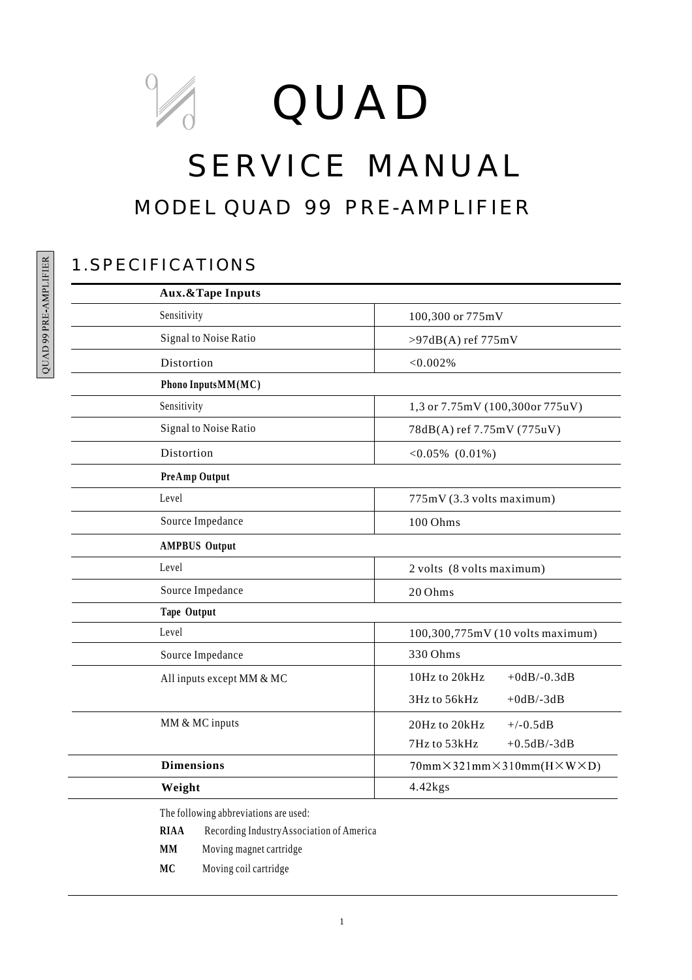# QUAD

# SERVICE MANUAL MODEL QUAD 99 PRE-AMPLIFIER

## 1.SPECIFICATIONS

| <b>Aux.&amp;Tape Inputs</b>                              |                                                 |  |
|----------------------------------------------------------|-------------------------------------------------|--|
| Sensitivity                                              | 100,300 or 775mV                                |  |
| Signal to Noise Ratio                                    | $>97dB(A)$ ref 775mV                            |  |
| Distortion                                               | < 0.002%                                        |  |
| Phono InputsMM(MC)                                       |                                                 |  |
| Sensitivity                                              | 1,3 or 7.75mV (100,300or 775uV)                 |  |
| Signal to Noise Ratio                                    | 78dB(A) ref 7.75mV (775uV)                      |  |
| Distortion                                               | $<0.05\%$ (0.01%)                               |  |
| PreAmp Output                                            |                                                 |  |
| Level                                                    | 775mV (3.3 volts maximum)                       |  |
| Source Impedance                                         | 100 Ohms                                        |  |
| <b>AMPBUS Output</b>                                     |                                                 |  |
| Level                                                    | 2 volts (8 volts maximum)                       |  |
| Source Impedance                                         | 20 Ohms                                         |  |
| Tape Output                                              |                                                 |  |
| Level                                                    | 100,300,775mV (10 volts maximum)                |  |
| Source Impedance                                         | 330 Ohms                                        |  |
| All inputs except MM & MC                                | 10Hz to 20kHz<br>$+0$ dB $/$ -0.3dB             |  |
|                                                          | 3Hz to 56kHz<br>$+0$ dB/-3dB                    |  |
| MM & MC inputs                                           | 20Hz to 20kHz<br>$+/-0.5dB$                     |  |
|                                                          | 7Hz to 53kHz<br>$+0.5$ dB/-3dB                  |  |
| <b>Dimensions</b>                                        | $70mm\times321mm\times310mm(H\times W\times D)$ |  |
| Weight                                                   | $4.42$ kgs                                      |  |
| The following abbreviations are used:                    |                                                 |  |
| <b>RIAA</b><br>Recording Industry Association of America |                                                 |  |
| Moving magnet cartridge<br>MМ                            |                                                 |  |

**MC** Moving coil cartridge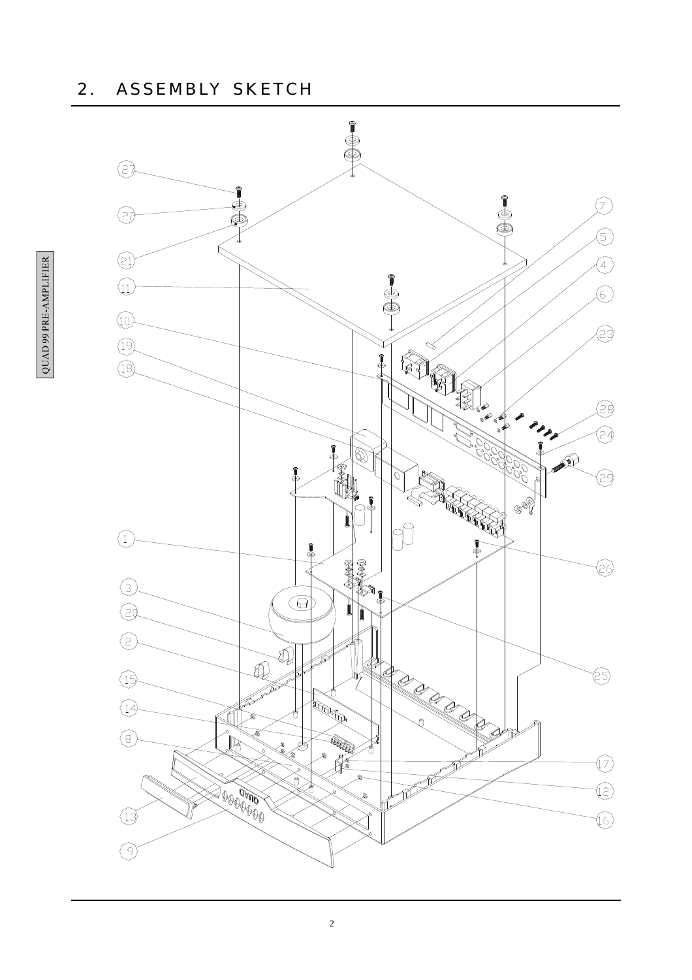#### 2. ASSEMBLY SKETCH

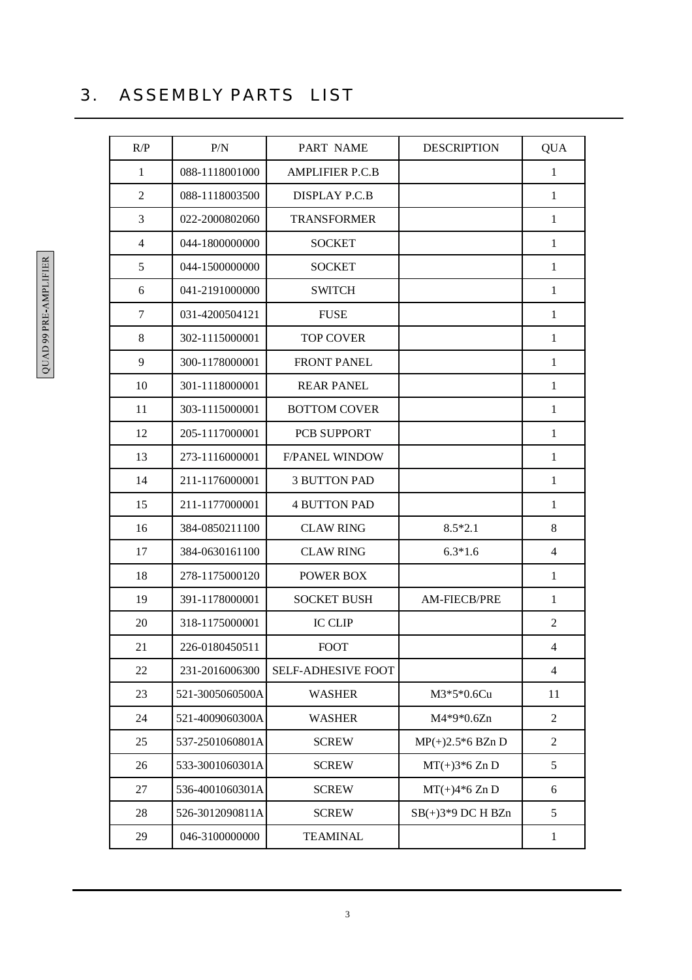# 3. ASSEMBLY PARTS LIST

| R/P            | P/N             | PART NAME              | <b>DESCRIPTION</b>  | <b>QUA</b>     |
|----------------|-----------------|------------------------|---------------------|----------------|
| $\mathbf{1}$   | 088-1118001000  | <b>AMPLIFIER P.C.B</b> |                     | $\mathbf{1}$   |
| 2              | 088-1118003500  | <b>DISPLAY P.C.B</b>   |                     | $\mathbf{1}$   |
| $\mathfrak{Z}$ | 022-2000802060  | <b>TRANSFORMER</b>     |                     | $\mathbf{1}$   |
| $\overline{4}$ | 044-1800000000  | <b>SOCKET</b>          |                     | $\mathbf{1}$   |
| 5              | 044-1500000000  | <b>SOCKET</b>          |                     | $\mathbf{1}$   |
| 6              | 041-2191000000  | <b>SWITCH</b>          |                     | $\mathbf{1}$   |
| $\overline{7}$ | 031-4200504121  | <b>FUSE</b>            |                     | $\mathbf{1}$   |
| 8              | 302-1115000001  | <b>TOP COVER</b>       |                     | $\mathbf{1}$   |
| 9              | 300-1178000001  | <b>FRONT PANEL</b>     |                     | $\mathbf{1}$   |
| 10             | 301-1118000001  | <b>REAR PANEL</b>      |                     | $\mathbf{1}$   |
| 11             | 303-1115000001  | <b>BOTTOM COVER</b>    |                     | $\mathbf{1}$   |
| 12             | 205-1117000001  | PCB SUPPORT            |                     | $\mathbf{1}$   |
| 13             | 273-1116000001  | <b>F/PANEL WINDOW</b>  |                     | $\mathbf{1}$   |
| 14             | 211-1176000001  | <b>3 BUTTON PAD</b>    |                     | $\mathbf{1}$   |
| 15             | 211-1177000001  | <b>4 BUTTON PAD</b>    |                     | $\mathbf{1}$   |
| 16             | 384-0850211100  | <b>CLAW RING</b>       | $8.5*2.1$           | 8              |
| 17             | 384-0630161100  | <b>CLAW RING</b>       | $6.3*1.6$           | $\overline{4}$ |
| 18             | 278-1175000120  | <b>POWER BOX</b>       |                     | $\mathbf{1}$   |
| 19             | 391-1178000001  | <b>SOCKET BUSH</b>     | <b>AM-FIECB/PRE</b> | $\mathbf{1}$   |
| 20             | 318-1175000001  | <b>IC CLIP</b>         |                     | $\overline{2}$ |
| 21             | 226-0180450511  | <b>FOOT</b>            |                     | $\overline{4}$ |
| 22             | 231-2016006300  | SELF-ADHESIVE FOOT     |                     | $\overline{4}$ |
| 23             | 521-3005060500A | <b>WASHER</b>          | $M3*5*0.6Cu$        | 11             |
| 24             | 521-4009060300A | <b>WASHER</b>          | M4*9*0.6Zn          | $\overline{2}$ |
| 25             | 537-2501060801A | <b>SCREW</b>           | $MP(+)2.5*6 BZn D$  | 2              |
| 26             | 533-3001060301A | <b>SCREW</b>           | $MT(+)3*6 Zn D$     | 5              |
| 27             | 536-4001060301A | <b>SCREW</b>           | $MT(+)4*6 Zn D$     | 6              |
| 28             | 526-3012090811A | <b>SCREW</b>           | $SB(+)3*9$ DC H BZn | 5              |
| 29             | 046-3100000000  | <b>TEAMINAL</b>        |                     | $\mathbf{1}$   |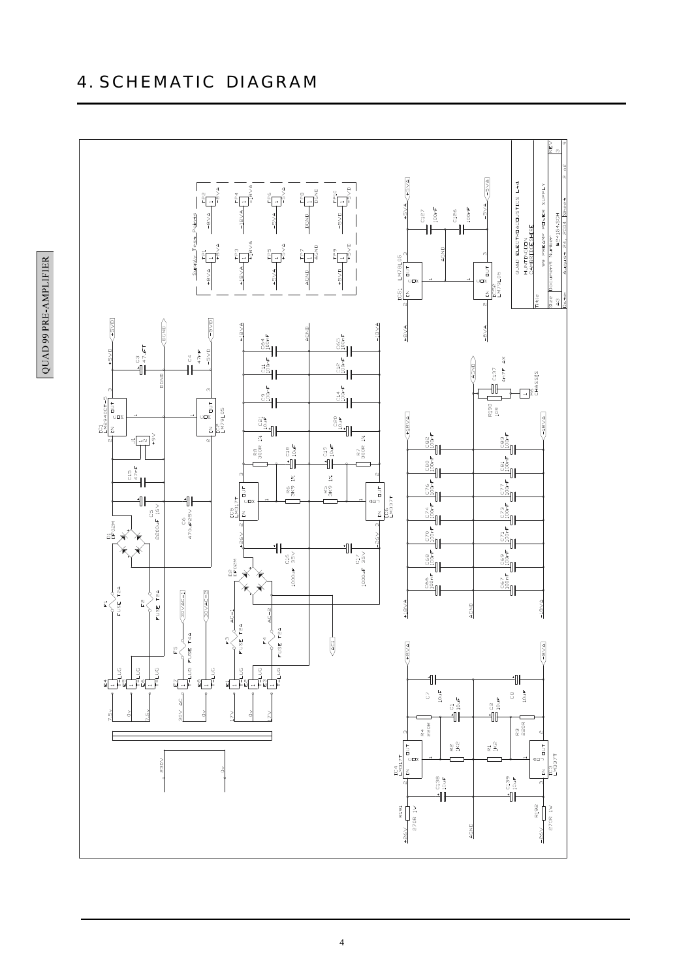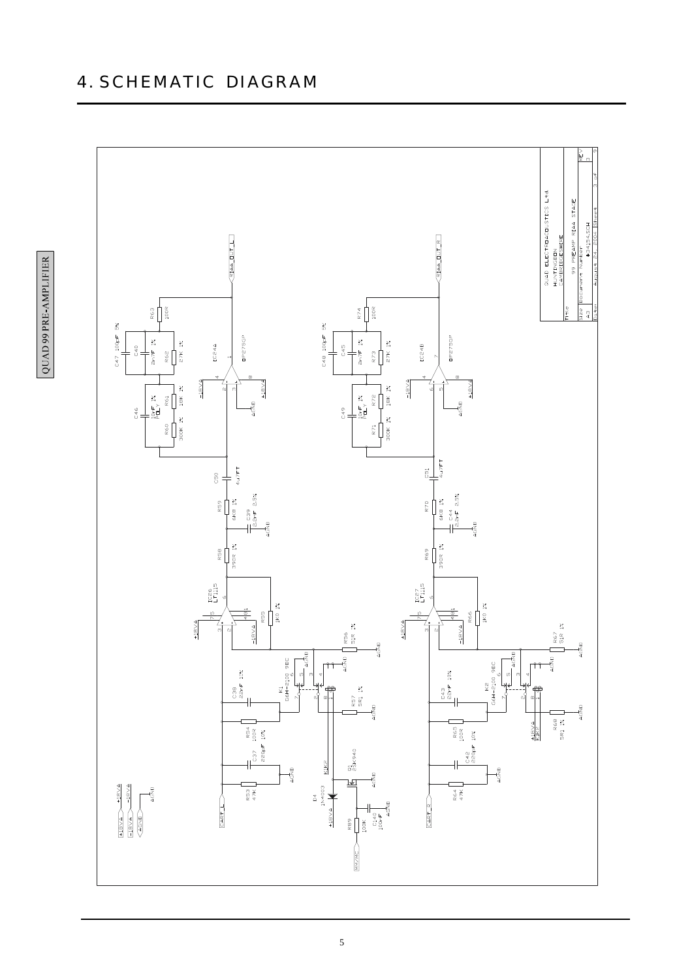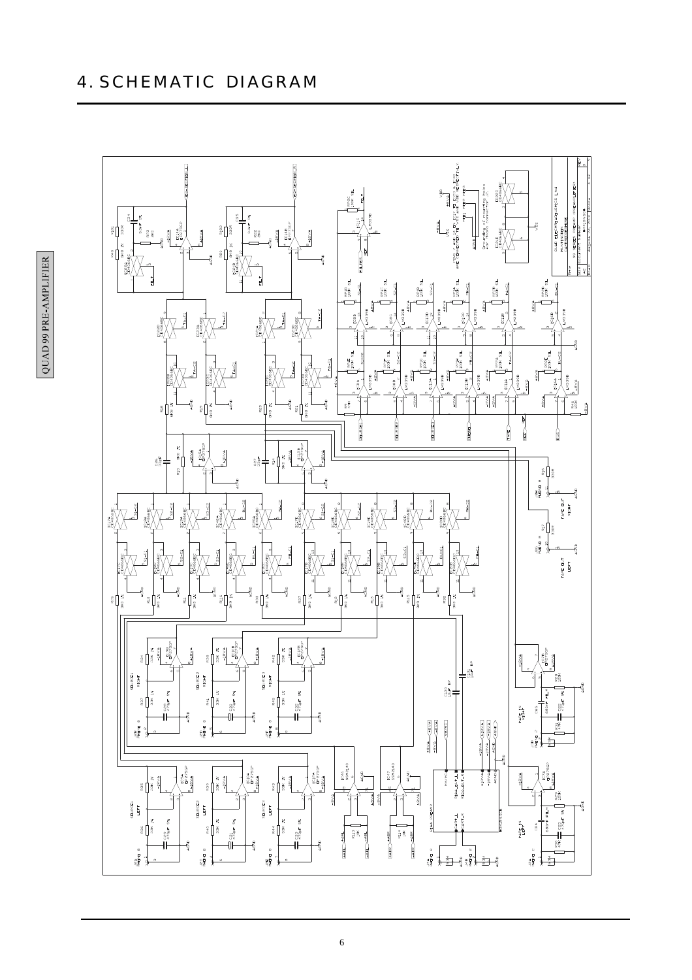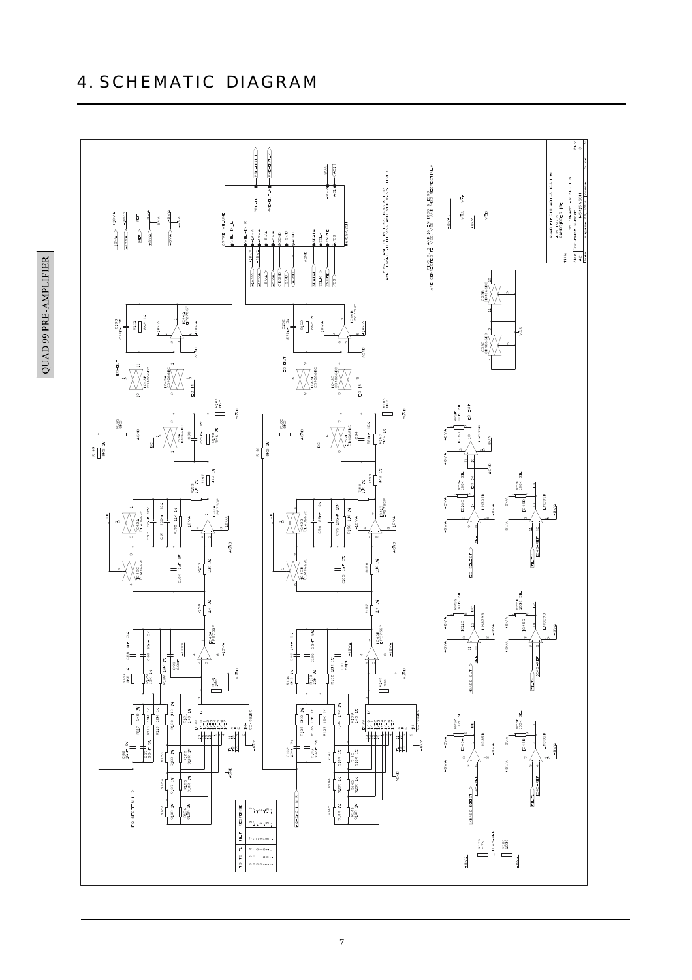

 $\operatorname{HHHdWV}$  316 66 GVNO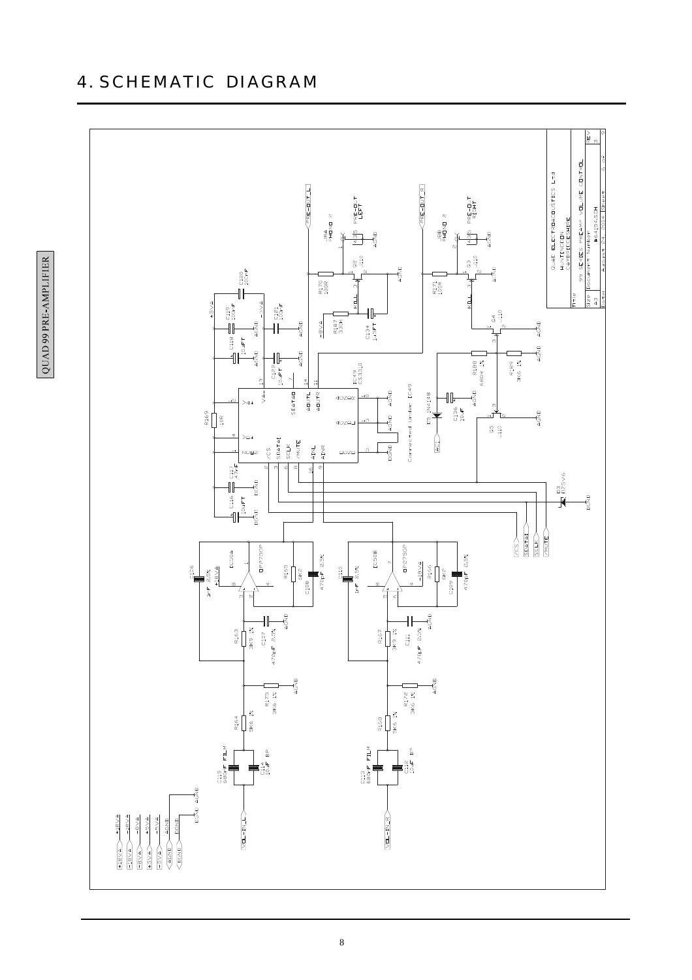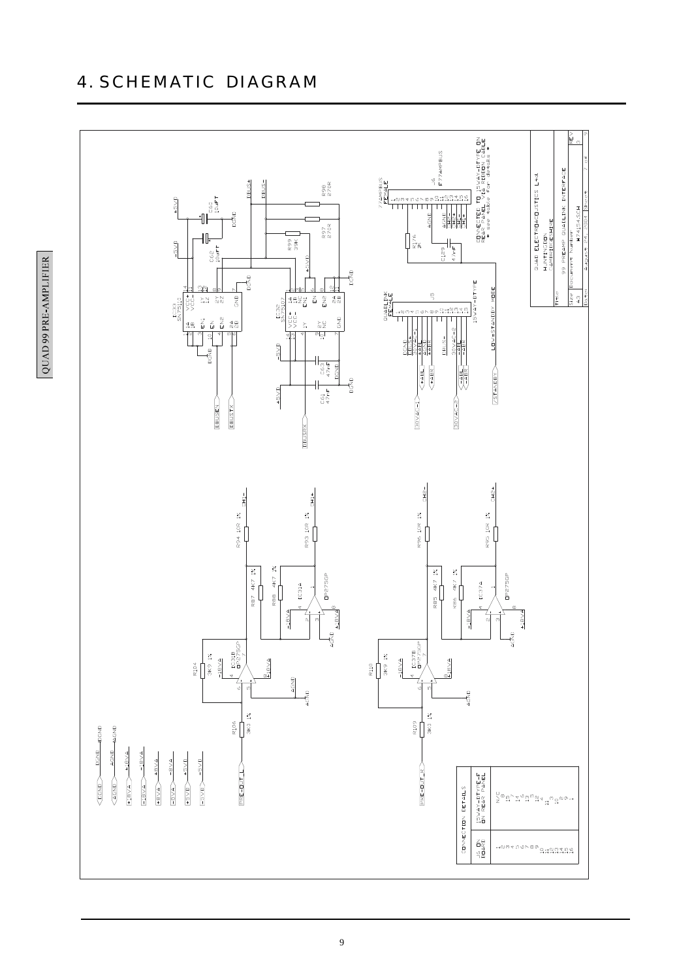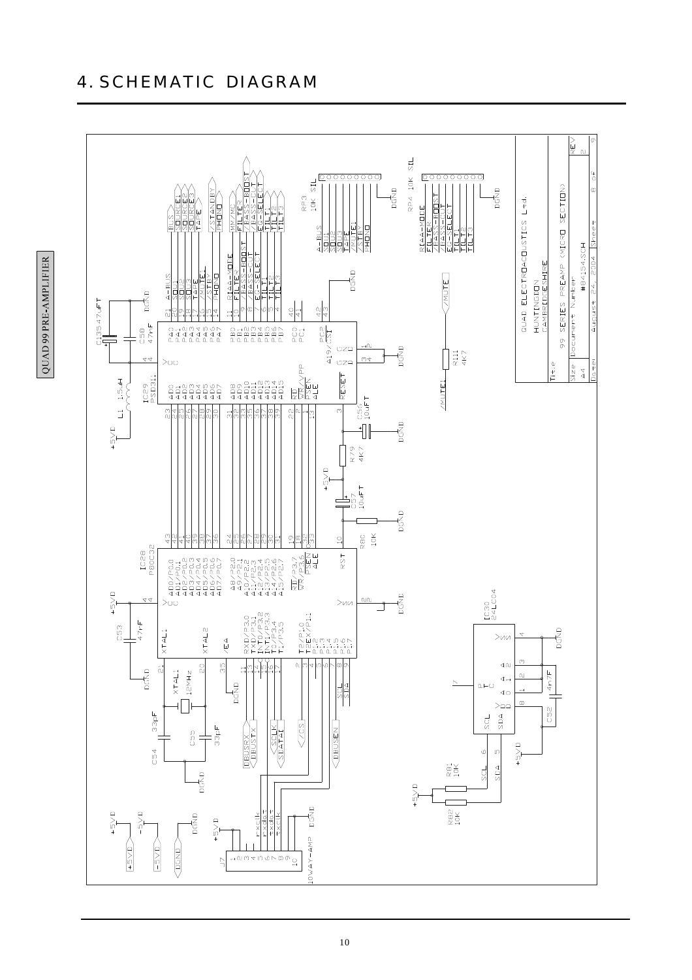



QUAD 99 PRE-AMPLIFIER

10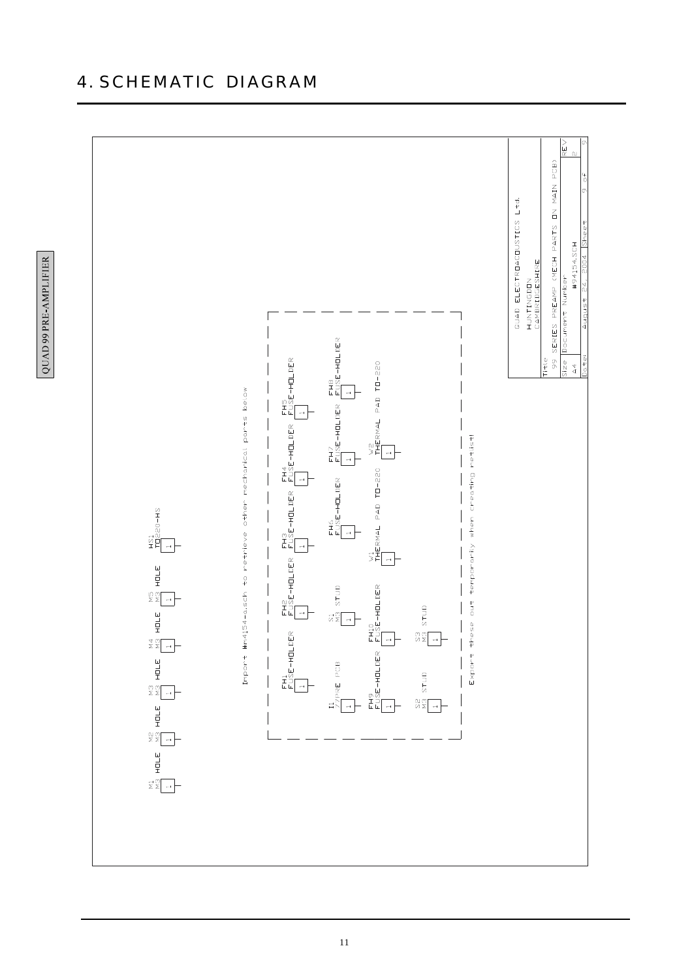

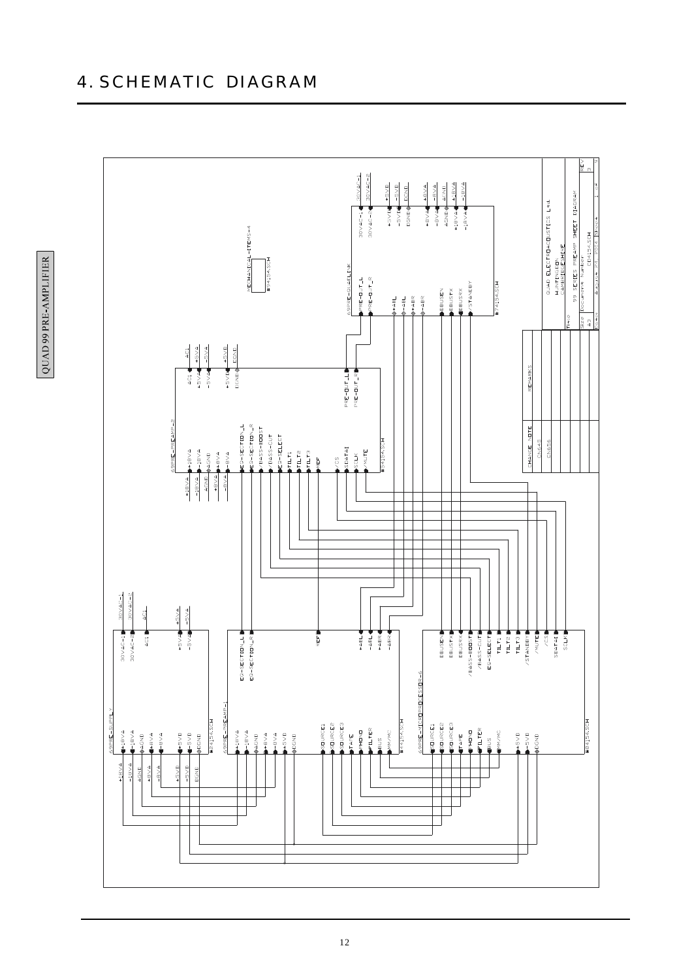

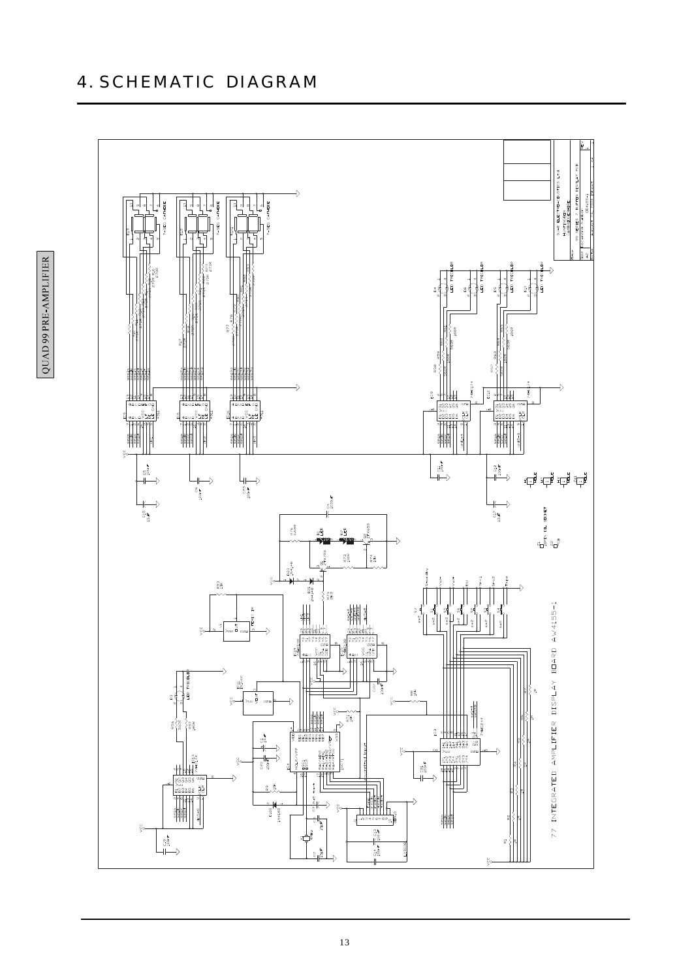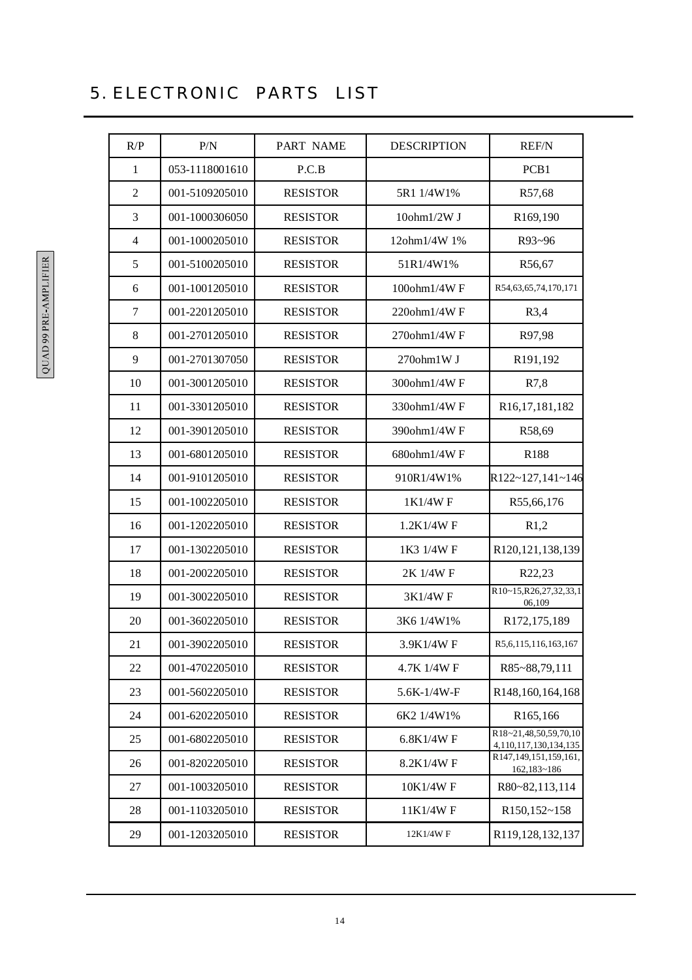| R/P            | P/N            | PART NAME       | <b>DESCRIPTION</b> | <b>REF/N</b>                                        |
|----------------|----------------|-----------------|--------------------|-----------------------------------------------------|
| 1              | 053-1118001610 | P.C.B           |                    | PCB1                                                |
| $\overline{2}$ | 001-5109205010 | <b>RESISTOR</b> | 5R1 1/4W1%         | R57,68                                              |
| 3              | 001-1000306050 | <b>RESISTOR</b> | $10$ ohm $1/2W$ J  | R169,190                                            |
| $\overline{4}$ | 001-1000205010 | <b>RESISTOR</b> | 12ohm1/4W 1%       | R93~96                                              |
| 5              | 001-5100205010 | <b>RESISTOR</b> | 51R1/4W1%          | R56,67                                              |
| 6              | 001-1001205010 | <b>RESISTOR</b> | 100ohm1/4WF        | R54,63,65,74,170,171                                |
| 7              | 001-2201205010 | <b>RESISTOR</b> | 220ohm1/4WF        | R3,4                                                |
| $\,8\,$        | 001-2701205010 | <b>RESISTOR</b> | 270ohm1/4WF        | R97,98                                              |
| 9              | 001-2701307050 | <b>RESISTOR</b> | 270ohm1W J         | R191,192                                            |
| 10             | 001-3001205010 | <b>RESISTOR</b> | 300ohm1/4WF        | R7,8                                                |
| 11             | 001-3301205010 | <b>RESISTOR</b> | 330ohm1/4WF        | R <sub>16</sub> , 17, 181, 182                      |
| 12             | 001-3901205010 | <b>RESISTOR</b> | 390ohm1/4WF        | R58,69                                              |
| 13             | 001-6801205010 | <b>RESISTOR</b> | 680ohm1/4WF        | R <sub>188</sub>                                    |
| 14             | 001-9101205010 | <b>RESISTOR</b> | 910R1/4W1%         | R122~127,141~146                                    |
| 15             | 001-1002205010 | <b>RESISTOR</b> | 1K1/4WF            | R55,66,176                                          |
| 16             | 001-1202205010 | <b>RESISTOR</b> | 1.2K1/4WF          | R1,2                                                |
| 17             | 001-1302205010 | <b>RESISTOR</b> | 1K3 1/4W F         | R120,121,138,139                                    |
| 18             | 001-2002205010 | <b>RESISTOR</b> | 2K 1/4W F          | R22,23                                              |
| 19             | 001-3002205010 | <b>RESISTOR</b> | 3K1/4WF            | R10~15, R26, 27, 32, 33, 1<br>06,109                |
| 20             | 001-3602205010 | <b>RESISTOR</b> | 3K6 1/4W1%         | R172,175,189                                        |
| 21             | 001-3902205010 | <b>RESISTOR</b> | 3.9K1/4WF          | R5,6,115,116,163,167                                |
| 22             | 001-4702205010 | <b>RESISTOR</b> | 4.7K 1/4W F        | R85~88,79,111                                       |
| 23             | 001-5602205010 | <b>RESISTOR</b> | 5.6K-1/4W-F        | R148,160,164,168                                    |
| 24             | 001-6202205010 | <b>RESISTOR</b> | 6K2 1/4W1%         | R165,166                                            |
| 25             | 001-6802205010 | <b>RESISTOR</b> | 6.8K1/4WF          | R18~21,48,50,59,70,10<br>4, 110, 117, 130, 134, 135 |
| 26             | 001-8202205010 | <b>RESISTOR</b> | 8.2K1/4WF          | R147,149,151,159,161,<br>162,183~186                |
| 27             | 001-1003205010 | <b>RESISTOR</b> | 10K1/4W F          | R80~82,113,114                                      |
| 28             | 001-1103205010 | <b>RESISTOR</b> | 11K1/4WF           | R150,152~158                                        |
| 29             | 001-1203205010 | <b>RESISTOR</b> | 12K1/4WF           | R119,128,132,137                                    |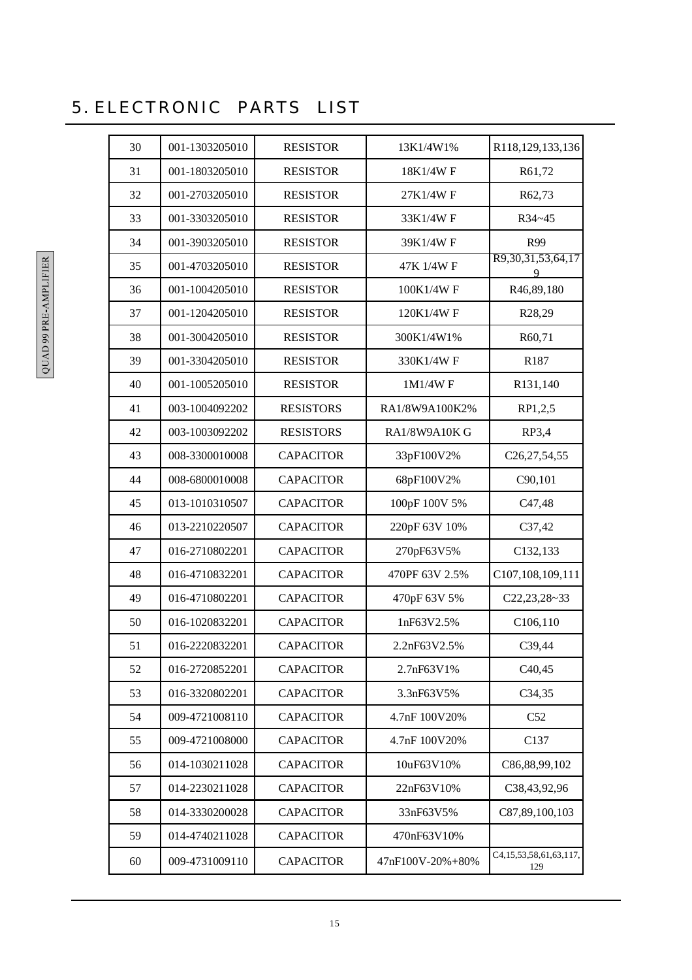| 30 | 001-1303205010 | <b>RESISTOR</b>  | 13K1/4W1%        | R118,129,133,136                    |
|----|----------------|------------------|------------------|-------------------------------------|
| 31 | 001-1803205010 | <b>RESISTOR</b>  | 18K1/4WF         | R61,72                              |
| 32 | 001-2703205010 | <b>RESISTOR</b>  | 27K1/4WF         | R62,73                              |
| 33 | 001-3303205010 | <b>RESISTOR</b>  | 33K1/4WF         | R34~45                              |
| 34 | 001-3903205010 | <b>RESISTOR</b>  | 39K1/4WF         | R99                                 |
| 35 | 001-4703205010 | <b>RESISTOR</b>  | 47K 1/4W F       | R9, 30, 31, 53, 64, 17<br>9         |
| 36 | 001-1004205010 | <b>RESISTOR</b>  | 100K1/4WF        | R46,89,180                          |
| 37 | 001-1204205010 | <b>RESISTOR</b>  | 120K1/4W F       | R28,29                              |
| 38 | 001-3004205010 | <b>RESISTOR</b>  | 300K1/4W1%       | R60,71                              |
| 39 | 001-3304205010 | <b>RESISTOR</b>  | 330K1/4WF        | R187                                |
| 40 | 001-1005205010 | <b>RESISTOR</b>  | 1M1/4WF          | R131,140                            |
| 41 | 003-1004092202 | <b>RESISTORS</b> | RA1/8W9A100K2%   | RP1,2,5                             |
| 42 | 003-1003092202 | <b>RESISTORS</b> | RA1/8W9A10K G    | RP3,4                               |
| 43 | 008-3300010008 | <b>CAPACITOR</b> | 33pF100V2%       | C26,27,54,55                        |
| 44 | 008-6800010008 | <b>CAPACITOR</b> | 68pF100V2%       | C90,101                             |
| 45 | 013-1010310507 | <b>CAPACITOR</b> | 100pF 100V 5%    | C <sub>47</sub> ,48                 |
| 46 | 013-2210220507 | <b>CAPACITOR</b> | 220pF 63V 10%    | C37,42                              |
| 47 | 016-2710802201 | <b>CAPACITOR</b> | 270pF63V5%       | C132,133                            |
| 48 | 016-4710832201 | <b>CAPACITOR</b> | 470PF 63V 2.5%   | C107,108,109,111                    |
| 49 | 016-4710802201 | <b>CAPACITOR</b> | 470pF 63V 5%     | $C22, 23, 28 - 33$                  |
| 50 | 016-1020832201 | <b>CAPACITOR</b> | 1nF63V2.5%       | C106,110                            |
| 51 | 016-2220832201 | <b>CAPACITOR</b> | 2.2nF63V2.5%     | C39,44                              |
| 52 | 016-2720852201 | <b>CAPACITOR</b> | 2.7nF63V1%       | C <sub>40</sub> ,45                 |
| 53 | 016-3320802201 | <b>CAPACITOR</b> | 3.3nF63V5%       | C34,35                              |
| 54 | 009-4721008110 | <b>CAPACITOR</b> | 4.7nF 100V20%    | C52                                 |
| 55 | 009-4721008000 | <b>CAPACITOR</b> | 4.7nF 100V20%    | C137                                |
| 56 | 014-1030211028 | <b>CAPACITOR</b> | 10uF63V10%       | C86,88,99,102                       |
| 57 | 014-2230211028 | <b>CAPACITOR</b> | 22nF63V10%       | C38,43,92,96                        |
| 58 | 014-3330200028 | <b>CAPACITOR</b> | 33nF63V5%        | C87,89,100,103                      |
| 59 | 014-4740211028 | <b>CAPACITOR</b> | 470nF63V10%      |                                     |
| 60 | 009-4731009110 | <b>CAPACITOR</b> | 47nF100V-20%+80% | C4, 15, 53, 58, 61, 63, 117,<br>129 |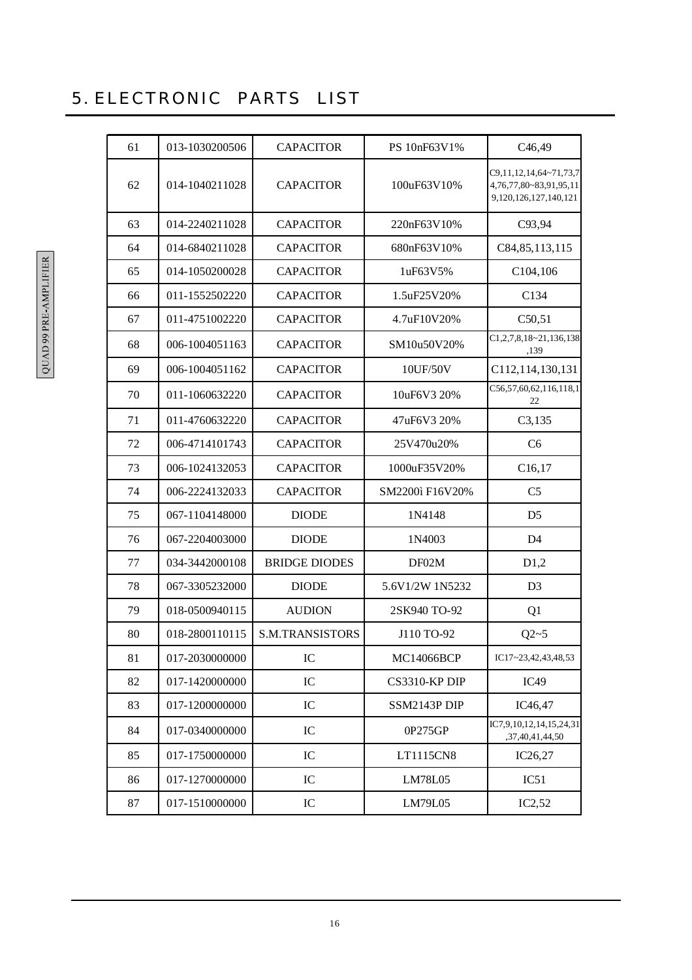| 61 | 013-1030200506 | <b>CAPACITOR</b>       | PS 10nF63V1%    | C <sub>46</sub> ,49                                                             |
|----|----------------|------------------------|-----------------|---------------------------------------------------------------------------------|
| 62 | 014-1040211028 | <b>CAPACITOR</b>       | 100uF63V10%     | C9, 11, 12, 14, 64~71, 73, 7<br>4,76,77,80~83,91,95,11<br>9,120,126,127,140,121 |
| 63 | 014-2240211028 | <b>CAPACITOR</b>       | 220nF63V10%     | C93,94                                                                          |
| 64 | 014-6840211028 | <b>CAPACITOR</b>       | 680nF63V10%     | C84, 85, 113, 115                                                               |
| 65 | 014-1050200028 | <b>CAPACITOR</b>       | 1uF63V5%        | C <sub>104</sub> , 106                                                          |
| 66 | 011-1552502220 | <b>CAPACITOR</b>       | 1.5uF25V20%     | C134                                                                            |
| 67 | 011-4751002220 | <b>CAPACITOR</b>       | 4.7uF10V20%     | C50,51                                                                          |
| 68 | 006-1004051163 | <b>CAPACITOR</b>       | SM10u50V20%     | $C1, 2, 7, 8, 18 - 21, 136, 138$<br>.139                                        |
| 69 | 006-1004051162 | <b>CAPACITOR</b>       | 10UF/50V        | C112, 114, 130, 131                                                             |
| 70 | 011-1060632220 | <b>CAPACITOR</b>       | 10uF6V3 20%     | C56,57,60,62,116,118,1<br>22                                                    |
| 71 | 011-4760632220 | <b>CAPACITOR</b>       | 47uF6V3 20%     | C3,135                                                                          |
| 72 | 006-4714101743 | <b>CAPACITOR</b>       | 25V470u20%      | C6                                                                              |
| 73 | 006-1024132053 | <b>CAPACITOR</b>       | 1000uF35V20%    | C16, 17                                                                         |
| 74 | 006-2224132033 | <b>CAPACITOR</b>       | SM2200ì F16V20% | C <sub>5</sub>                                                                  |
| 75 | 067-1104148000 | <b>DIODE</b>           | 1N4148          | D <sub>5</sub>                                                                  |
| 76 | 067-2204003000 | <b>DIODE</b>           | 1N4003          | D <sub>4</sub>                                                                  |
| 77 | 034-3442000108 | <b>BRIDGE DIODES</b>   | DF02M           | D1,2                                                                            |
| 78 | 067-3305232000 | <b>DIODE</b>           | 5.6V1/2W 1N5232 | D <sub>3</sub>                                                                  |
| 79 | 018-0500940115 | <b>AUDION</b>          | 2SK940 TO-92    | Q1                                                                              |
| 80 | 018-2800110115 | <b>S.M.TRANSISTORS</b> | J110 TO-92      | $Q2 - 5$                                                                        |
| 81 | 017-2030000000 | IC                     | MC14066BCP      | IC17~23,42,43,48,53                                                             |
| 82 | 017-1420000000 | IC                     | CS3310-KP DIP   | IC49                                                                            |
| 83 | 017-1200000000 | IC                     | SSM2143P DIP    | IC46,47                                                                         |
| 84 | 017-0340000000 | IC                     | 0P275GP         | IC7,9,10,12,14,15,24,31<br>,37,40,41,44,50                                      |
| 85 | 017-1750000000 | IC                     | LT1115CN8       | IC26,27                                                                         |
| 86 | 017-1270000000 | IC                     | LM78L05         | IC51                                                                            |
| 87 | 017-1510000000 | IC                     | LM79L05         | IC2,52                                                                          |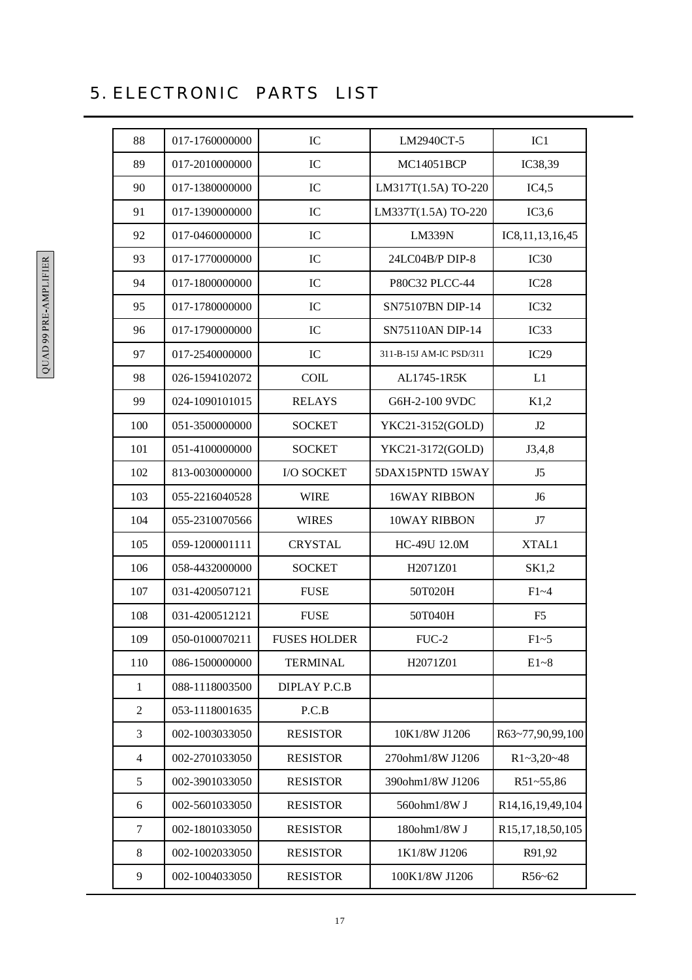| 88             | 017-1760000000 | IC                  | LM2940CT-5              | IC1                 |
|----------------|----------------|---------------------|-------------------------|---------------------|
| 89             | 017-2010000000 | IC                  | MC14051BCP              | IC38,39             |
| 90             | 017-1380000000 | IC                  | LM317T(1.5A) TO-220     | IC4,5               |
| 91             | 017-1390000000 | IC                  | LM337T(1.5A) TO-220     | IC3,6               |
| 92             | 017-0460000000 | IC                  | <b>LM339N</b>           | IC8, 11, 13, 16, 45 |
| 93             | 017-1770000000 | IC                  | 24LC04B/P DIP-8         | IC30                |
| 94             | 017-1800000000 | IC                  | P80C32 PLCC-44          | IC28                |
| 95             | 017-1780000000 | IC                  | SN75107BN DIP-14        | IC32                |
| 96             | 017-1790000000 | IC                  | SN75110AN DIP-14        | IC33                |
| 97             | 017-2540000000 | IC                  | 311-B-15J AM-IC PSD/311 | IC29                |
| 98             | 026-1594102072 | <b>COIL</b>         | AL1745-1R5K             | L1                  |
| 99             | 024-1090101015 | <b>RELAYS</b>       | G6H-2-100 9VDC          | K1,2                |
| 100            | 051-3500000000 | <b>SOCKET</b>       | YKC21-3152(GOLD)        | J2                  |
| 101            | 051-4100000000 | <b>SOCKET</b>       | YKC21-3172(GOLD)        | J3,4,8              |
| 102            | 813-0030000000 | I/O SOCKET          | 5DAX15PNTD 15WAY        | J5                  |
| 103            | 055-2216040528 | <b>WIRE</b>         | <b>16WAY RIBBON</b>     | J <sub>6</sub>      |
| 104            | 055-2310070566 | <b>WIRES</b>        | 10WAY RIBBON            | J7                  |
| 105            | 059-1200001111 | <b>CRYSTAL</b>      | HC-49U 12.0M            | XTAL1               |
| 106            | 058-4432000000 | <b>SOCKET</b>       | H2071Z01                | SK1,2               |
| 107            | 031-4200507121 | <b>FUSE</b>         | 50T020H                 | $F1 - 4$            |
| 108            | 031-4200512121 | <b>FUSE</b>         | 50T040H                 | F <sub>5</sub>      |
| 109            | 050-0100070211 | <b>FUSES HOLDER</b> | $FUC-2$                 | $F1-5$              |
| 110            | 086-1500000000 | <b>TERMINAL</b>     | H2071Z01                | $E1-8$              |
| $\mathbf{1}$   | 088-1118003500 | DIPLAY P.C.B        |                         |                     |
| $\overline{2}$ | 053-1118001635 | P.C.B               |                         |                     |
| 3              | 002-1003033050 | <b>RESISTOR</b>     | 10K1/8W J1206           | R63~77,90,99,100    |
| $\overline{4}$ | 002-2701033050 | <b>RESISTOR</b>     | 270ohm1/8W J1206        | $R1 - 3,20 - 48$    |
| $\mathfrak s$  | 002-3901033050 | <b>RESISTOR</b>     | 390ohm1/8W J1206        | R51~55,86           |
| 6              | 002-5601033050 | <b>RESISTOR</b>     | 560ohm1/8W J            | R14,16,19,49,104    |
| 7              | 002-1801033050 | <b>RESISTOR</b>     | 180ohm1/8W J            | R15,17,18,50,105    |
| $\,8\,$        | 002-1002033050 | <b>RESISTOR</b>     | 1K1/8W J1206            | R91,92              |
| $\overline{9}$ | 002-1004033050 | <b>RESISTOR</b>     | 100K1/8W J1206          | R56~62              |
|                |                |                     |                         |                     |